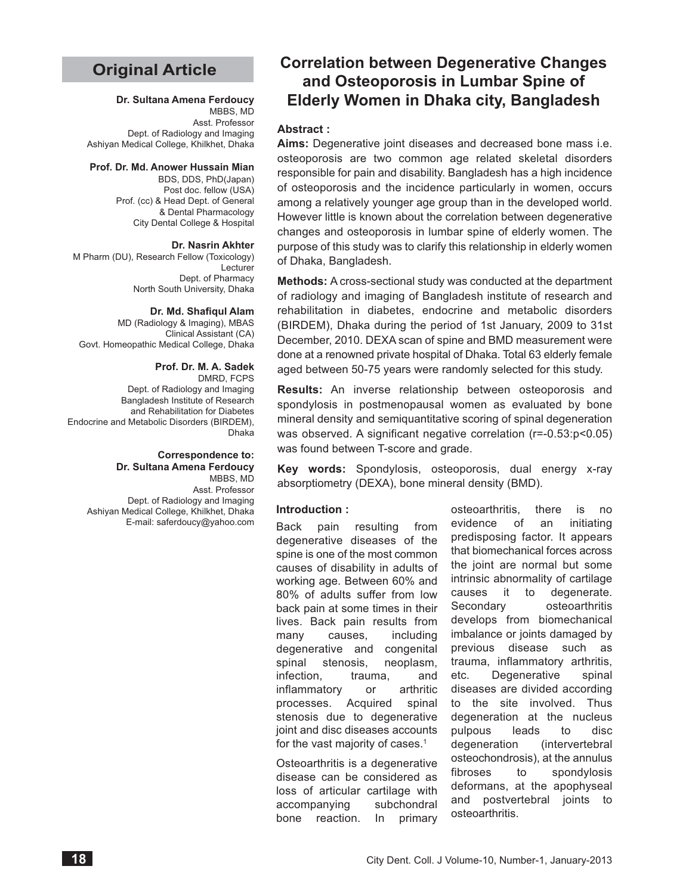# **Original Article**

### **Dr. Sultana Amena Ferdoucy**

MBBS, MD Asst. Professor Dept. of Radiology and Imaging Ashiyan Medical College, Khilkhet, Dhaka

#### **Prof. Dr. Md. Anower Hussain Mian**

BDS, DDS, PhD(Japan) Post doc. fellow (USA) Prof. (cc) & Head Dept. of General & Dental Pharmacology City Dental College & Hospital

#### **Dr. Nasrin Akhter**

M Pharm (DU), Research Fellow (Toxicology) Lecturer Dept. of Pharmacy North South University, Dhaka

#### **Dr. Md. Shafiqul Alam**

MD (Radiology & Imaging), MBAS Clinical Assistant (CA) Govt. Homeopathic Medical College, Dhaka

# **Prof. Dr. M. A. Sadek**

DMRD, FCPS Dept. of Radiology and Imaging Bangladesh Institute of Research and Rehabilitation for Diabetes Endocrine and Metabolic Disorders (BIRDEM), Dhaka

#### **Correspondence to: Dr. Sultana Amena Ferdoucy**  MBBS, MD Asst. Professor Dept. of Radiology and Imaging Ashiyan Medical College, Khilkhet, Dhaka E-mail: saferdoucy@yahoo.com

# **Correlation between Degenerative Changes and Osteoporosis in Lumbar Spine of Elderly Women in Dhaka city, Bangladesh**

# **Abstract :**

**Aims:** Degenerative joint diseases and decreased bone mass i.e. osteoporosis are two common age related skeletal disorders responsible for pain and disability. Bangladesh has a high incidence of osteoporosis and the incidence particularly in women, occurs among a relatively younger age group than in the developed world. However little is known about the correlation between degenerative changes and osteoporosis in lumbar spine of elderly women. The purpose of this study was to clarify this relationship in elderly women of Dhaka, Bangladesh.

**Methods:** A cross-sectional study was conducted at the department of radiology and imaging of Bangladesh institute of research and rehabilitation in diabetes, endocrine and metabolic disorders (BIRDEM), Dhaka during the period of 1st January, 2009 to 31st December, 2010. DEXA scan of spine and BMD measurement were done at a renowned private hospital of Dhaka. Total 63 elderly female aged between 50-75 years were randomly selected for this study.

**Results:** An inverse relationship between osteoporosis and spondylosis in postmenopausal women as evaluated by bone mineral density and semiquantitative scoring of spinal degeneration was observed. A significant negative correlation (r=-0.53:p<0.05) was found between T-score and grade.

**Key words:** Spondylosis, osteoporosis, dual energy x-ray absorptiometry (DEXA), bone mineral density (BMD).

#### **Introduction :**

Back pain resulting from degenerative diseases of the spine is one of the most common causes of disability in adults of working age. Between 60% and 80% of adults suffer from low back pain at some times in their lives. Back pain results from many causes, including degenerative and congenital spinal stenosis, neoplasm, infection, trauma, and inflammatory or arthritic processes. Acquired spinal stenosis due to degenerative joint and disc diseases accounts for the vast majority of cases.<sup>1</sup>

Osteoarthritis is a degenerative disease can be considered as loss of articular cartilage with accompanying subchondral bone reaction. In primary

osteoarthritis, there is no evidence of an initiating predisposing factor. It appears that biomechanical forces across the joint are normal but some intrinsic abnormality of cartilage causes it to degenerate. Secondary osteoarthritis develops from biomechanical imbalance or joints damaged by previous disease such as trauma, inflammatory arthritis, etc. Degenerative spinal diseases are divided according to the site involved. Thus degeneration at the nucleus pulpous leads to disc degeneration (intervertebral osteochondrosis), at the annulus fibroses to spondylosis deformans, at the apophyseal and postvertebral joints to osteoarthritis.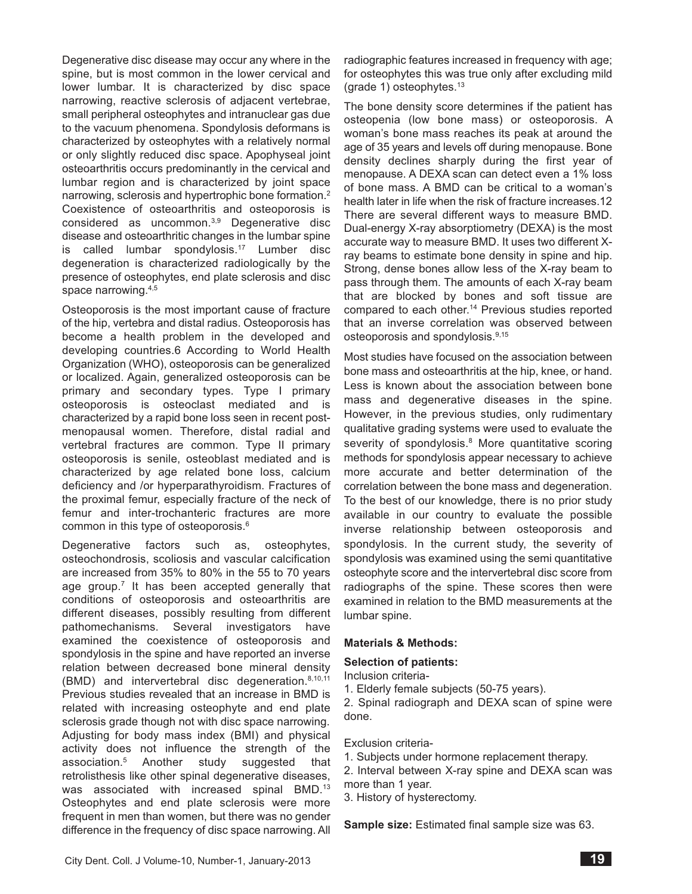Degenerative disc disease may occur any where in the spine, but is most common in the lower cervical and lower lumbar. It is characterized by disc space narrowing, reactive sclerosis of adjacent vertebrae, small peripheral osteophytes and intranuclear gas due to the vacuum phenomena. Spondylosis deformans is characterized by osteophytes with a relatively normal or only slightly reduced disc space. Apophyseal joint osteoarthritis occurs predominantly in the cervical and lumbar region and is characterized by joint space narrowing, sclerosis and hypertrophic bone formation.2 Coexistence of osteoarthritis and osteoporosis is considered as uncommon.3,9 Degenerative disc disease and osteoarthritic changes in the lumbar spine is called lumbar spondylosis.<sup>17</sup> Lumber disc degeneration is characterized radiologically by the presence of osteophytes, end plate sclerosis and disc space narrowing.4,5

Osteoporosis is the most important cause of fracture of the hip, vertebra and distal radius. Osteoporosis has become a health problem in the developed and developing countries.6 According to World Health Organization (WHO), osteoporosis can be generalized or localized. Again, generalized osteoporosis can be primary and secondary types. Type I primary osteoporosis is osteoclast mediated and is characterized by a rapid bone loss seen in recent postmenopausal women. Therefore, distal radial and vertebral fractures are common. Type II primary osteoporosis is senile, osteoblast mediated and is characterized by age related bone loss, calcium deficiency and /or hyperparathyroidism. Fractures of the proximal femur, especially fracture of the neck of femur and inter-trochanteric fractures are more common in this type of osteoporosis.<sup>6</sup>

Degenerative factors such as, osteophytes, osteochondrosis, scoliosis and vascular calcification are increased from 35% to 80% in the 55 to 70 years age group.<sup>7</sup> It has been accepted generally that conditions of osteoporosis and osteoarthritis are different diseases, possibly resulting from different pathomechanisms. Several investigators have examined the coexistence of osteoporosis and spondylosis in the spine and have reported an inverse relation between decreased bone mineral density (BMD) and intervertebral disc degeneration.8,10,11 Previous studies revealed that an increase in BMD is related with increasing osteophyte and end plate sclerosis grade though not with disc space narrowing. Adjusting for body mass index (BMI) and physical activity does not influence the strength of the association.5 Another study suggested that retrolisthesis like other spinal degenerative diseases, was associated with increased spinal BMD.<sup>13</sup> Osteophytes and end plate sclerosis were more frequent in men than women, but there was no gender difference in the frequency of disc space narrowing. All radiographic features increased in frequency with age; for osteophytes this was true only after excluding mild (grade 1) osteophytes.<sup>13</sup>

The bone density score determines if the patient has osteopenia (low bone mass) or osteoporosis. A woman's bone mass reaches its peak at around the age of 35 years and levels off during menopause. Bone density declines sharply during the first year of menopause. A DEXA scan can detect even a 1% loss of bone mass. A BMD can be critical to a woman's health later in life when the risk of fracture increases.12 There are several different ways to measure BMD. Dual-energy X-ray absorptiometry (DEXA) is the most accurate way to measure BMD. It uses two different Xray beams to estimate bone density in spine and hip. Strong, dense bones allow less of the X-ray beam to pass through them. The amounts of each X-ray beam that are blocked by bones and soft tissue are compared to each other.<sup>14</sup> Previous studies reported that an inverse correlation was observed between osteoporosis and spondylosis.9,15

Most studies have focused on the association between bone mass and osteoarthritis at the hip, knee, or hand. Less is known about the association between bone mass and degenerative diseases in the spine. However, in the previous studies, only rudimentary qualitative grading systems were used to evaluate the severity of spondylosis.<sup>8</sup> More quantitative scoring methods for spondylosis appear necessary to achieve more accurate and better determination of the correlation between the bone mass and degeneration. To the best of our knowledge, there is no prior study available in our country to evaluate the possible inverse relationship between osteoporosis and spondylosis. In the current study, the severity of spondylosis was examined using the semi quantitative osteophyte score and the intervertebral disc score from radiographs of the spine. These scores then were examined in relation to the BMD measurements at the lumbar spine.

# **Materials & Methods:**

# **Selection of patients:**

Inclusion criteria-

1. Elderly female subjects (50-75 years).

2. Spinal radiograph and DEXA scan of spine were done.

Exclusion criteria-

1. Subjects under hormone replacement therapy.

2. Interval between X-ray spine and DEXA scan was more than 1 year.

3. History of hysterectomy.

**Sample size:** Estimated final sample size was 63.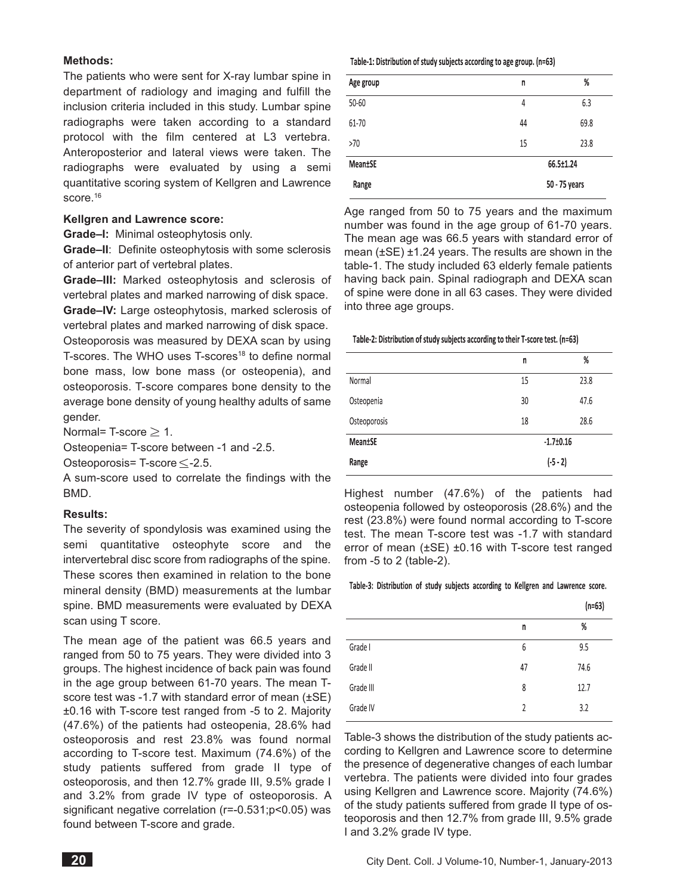# **Methods:**

The patients who were sent for X-ray lumbar spine in department of radiology and imaging and fulfill the inclusion criteria included in this study. Lumbar spine radiographs were taken according to a standard protocol with the film centered at L3 vertebra. Anteroposterior and lateral views were taken. The radiographs were evaluated by using a semi quantitative scoring system of Kellgren and Lawrence score.<sup>16</sup>

## **Kellgren and Lawrence score:**

**Grade–I:** Minimal osteophytosis only.

**Grade–II**: Definite osteophytosis with some sclerosis of anterior part of vertebral plates.

**Grade–III:** Marked osteophytosis and sclerosis of vertebral plates and marked narrowing of disk space. **Grade–IV:** Large osteophytosis, marked sclerosis of vertebral plates and marked narrowing of disk space.

Osteoporosis was measured by DEXA scan by using T-scores. The WHO uses T-scores<sup>18</sup> to define normal bone mass, low bone mass (or osteopenia), and osteoporosis. T-score compares bone density to the average bone density of young healthy adults of same gender.

Normal= T-score  $\geq 1$ .

Osteopenia= T-score between -1 and -2.5.

Osteoporosis=  $T$ -score  $\leq$ -2.5.

A sum-score used to correlate the findings with the BMD.

# **Results:**

The severity of spondylosis was examined using the semi quantitative osteophyte score and the intervertebral disc score from radiographs of the spine. These scores then examined in relation to the bone mineral density (BMD) measurements at the lumbar spine. BMD measurements were evaluated by DEXA scan using T score.

The mean age of the patient was 66.5 years and ranged from 50 to 75 years. They were divided into 3 groups. The highest incidence of back pain was found in the age group between 61-70 years. The mean Tscore test was -1.7 with standard error of mean (±SE) ±0.16 with T-score test ranged from -5 to 2. Majority (47.6%) of the patients had osteopenia, 28.6% had osteoporosis and rest 23.8% was found normal according to T-score test. Maximum (74.6%) of the study patients suffered from grade II type of osteoporosis, and then 12.7% grade III, 9.5% grade I and 3.2% from grade IV type of osteoporosis. A significant negative correlation (r=-0.531;p<0.05) was found between T-score and grade.

Table-1: Distribution of study subjects according to age group. (n=63)

| Age group | n             | %    |
|-----------|---------------|------|
| 50-60     | 4             | 6.3  |
| 61-70     | 44            | 69.8 |
| >70       | 15            | 23.8 |
| Mean±SE   | 66.5±1.24     |      |
| Range     | 50 - 75 years |      |

Age ranged from 50 to 75 years and the maximum number was found in the age group of 61-70 years. The mean age was 66.5 years with standard error of mean (±SE) ±1.24 years. The results are shown in the table-1. The study included 63 elderly female patients having back pain. Spinal radiograph and DEXA scan of spine were done in all 63 cases. They were divided into three age groups.

#### Table-2: Distribution of study subjects according to their T-score test. (n=63)

|              | n             | %    |
|--------------|---------------|------|
|              |               |      |
| Normal       | 15            | 23.8 |
| Osteopenia   | 30            | 47.6 |
| Osteoporosis | 18            | 28.6 |
| Mean±SE      | $-1.7 + 0.16$ |      |
| Range        | $(-5 - 2)$    |      |

Highest number (47.6%) of the patients had osteopenia followed by osteoporosis (28.6%) and the rest (23.8%) were found normal according to T-score test. The mean T-score test was -1.7 with standard error of mean (±SE) ±0.16 with T-score test ranged from -5 to 2 (table-2).

Table-3: Distribution of study subjects according to Kellgren and Lawrence score.

|           |    | $(n=63)$ |
|-----------|----|----------|
|           | n  | %        |
| Grade I   | 6  | 9.5      |
| Grade II  | 47 | 74.6     |
| Grade III | 8  | 12.7     |
| Grade IV  | 2  | 3.2      |

Table-3 shows the distribution of the study patients according to Kellgren and Lawrence score to determine the presence of degenerative changes of each lumbar vertebra. The patients were divided into four grades using Kellgren and Lawrence score. Majority (74.6%) of the study patients suffered from grade II type of osteoporosis and then 12.7% from grade III, 9.5% grade I and 3.2% grade IV type.